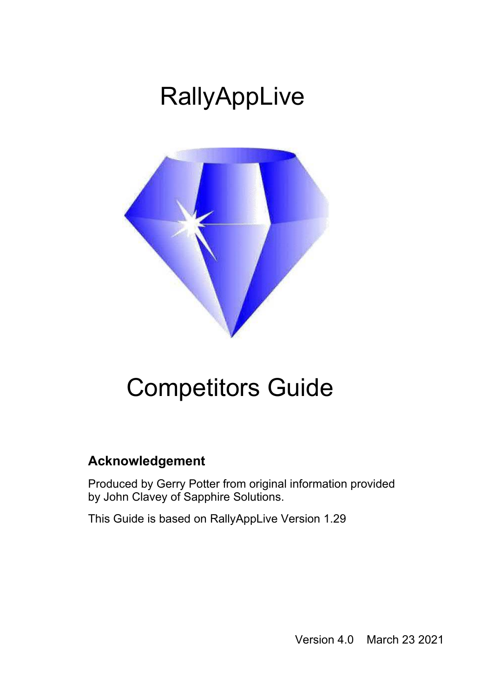# **RallyAppLive**



## Competitors Guide

### **Acknowledgement**

Produced by Gerry Potter from original information provided by John Clavey of Sapphire Solutions.

This Guide is based on RallyAppLive Version 1.29

Version 4.0 March 23 2021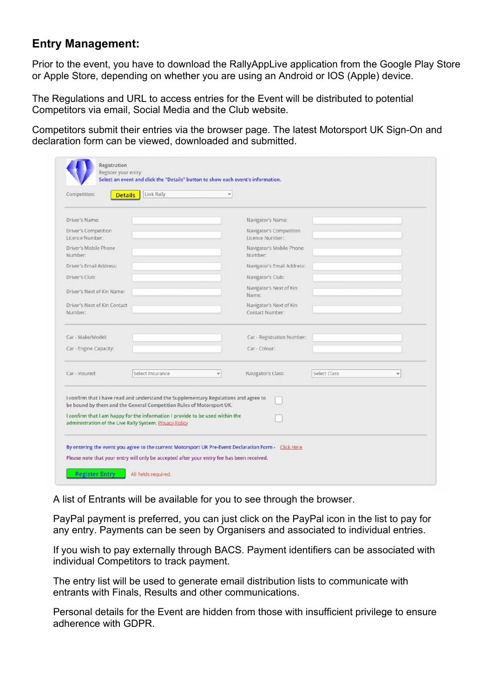### **Entry Management:**

Prior to the event, you have to download the RallyAppLive application from the Google Play Store or Apple Store, depending on whether you are using an Android or IOS (Apple) device.

The Regulations and URL to access entries for the Event will be distributed to potential Competitors via email, Social Media and the Club website.

Competitors submit their entries via the browser page. The latest Motorsport UK Sign-On and declaration form can be viewed, downloaded and submitted.

| Competition:<br><b>Details</b>          | Link Rally                                                                                                                                                                                                                                                                                               | $\checkmark$ |                                            |                     |              |
|-----------------------------------------|----------------------------------------------------------------------------------------------------------------------------------------------------------------------------------------------------------------------------------------------------------------------------------------------------------|--------------|--------------------------------------------|---------------------|--------------|
| Driver's Name:                          |                                                                                                                                                                                                                                                                                                          |              | Navigator's Name:                          |                     |              |
| Driver's Competition<br>Licence Number: |                                                                                                                                                                                                                                                                                                          |              | Navigator's Competition<br>Licence Number: |                     |              |
| Driver's Mobile Phone<br>Number:        |                                                                                                                                                                                                                                                                                                          |              | Navigator's Mobile Phone<br>Number:        |                     |              |
| Driver's Email Address:                 |                                                                                                                                                                                                                                                                                                          |              | Navigator's Email Address:                 |                     |              |
| Driver's Club:                          |                                                                                                                                                                                                                                                                                                          |              | Navigator's Club:                          |                     |              |
| Driver's Next of Kin Name:              |                                                                                                                                                                                                                                                                                                          |              | Navigator's Next of Kin<br>Name:           |                     |              |
| Driver's Next of Kin Contact<br>Number: |                                                                                                                                                                                                                                                                                                          |              | Navigator's Next of Kin<br>Contact Number: |                     |              |
| Car - Make/Model:                       |                                                                                                                                                                                                                                                                                                          |              | Car - Registration Number:                 |                     |              |
| Car - Engine Capacity:                  |                                                                                                                                                                                                                                                                                                          |              | Car - Colour:                              |                     |              |
| Car - Insured:                          | Select Insurance                                                                                                                                                                                                                                                                                         | v            | Navigator's Class:                         | <b>Select Class</b> | $\checkmark$ |
|                                         | I confirm that I have read and understand the Supplementary Regulations and agree to<br>be bound by them and the General Competition Rules of Motorsport UK.<br>I confirm that I am happy for the information I provide to be used within the<br>administration of the Live Rally System. Privacy Policy |              |                                            |                     |              |

A list of Entrants will be available for you to see through the browser.

PayPal payment is preferred, you can just click on the PayPal icon in the list to pay for any entry. Payments can be seen by Organisers and associated to individual entries.

If you wish to pay externally through BACS. Payment identifiers can be associated with individual Competitors to track payment.

The entry list will be used to generate email distribution lists to communicate with entrants with Finals, Results and other communications.

Personal details for the Event are hidden from those with insufficient privilege to ensure adherence with GDPR.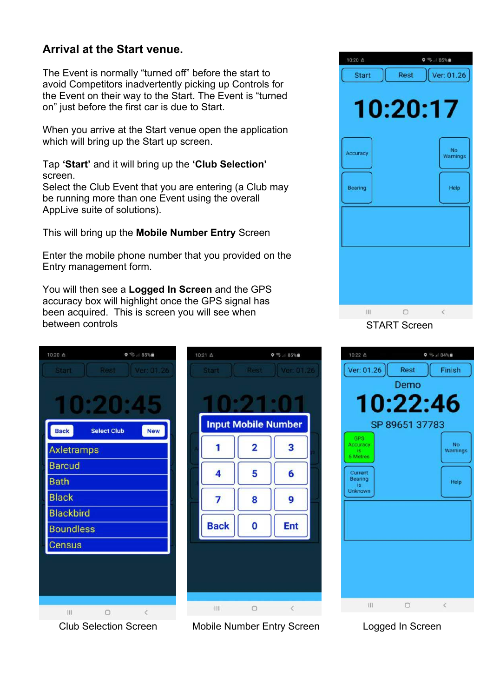#### **Arrival at the Start venue.**

The Event is normally "turned off" before the start to avoid Competitors inadvertently picking up Controls for the Event on their way to the Start. The Event is "turned on" just before the first car is due to Start.

When you arrive at the Start venue open the application which will bring up the Start up screen.

Tap **'Start'** and it will bring up the **'Club Selection'** screen.

Select the Club Event that you are entering (a Club may be running more than one Event using the overall AppLive suite of solutions).

This will bring up the **Mobile Number Entry** Screen

Enter the mobile phone number that you provided on the Entry management form.

You will then see a **Logged In Screen** and the GPS accuracy box will highlight once the GPS signal has been acquired. This is screen you will see when between controls



10:21 A  $0$   $\oplus$   $R5\%$ **Input Mobile Number** 1  $\overline{2}$ 3 4 5 6 8 g 7 **Back**  $\bf{0}$ Ent Ш  $\circ$ 

Club Selection Screen Mobile Number Entry Screen





Logged In Screen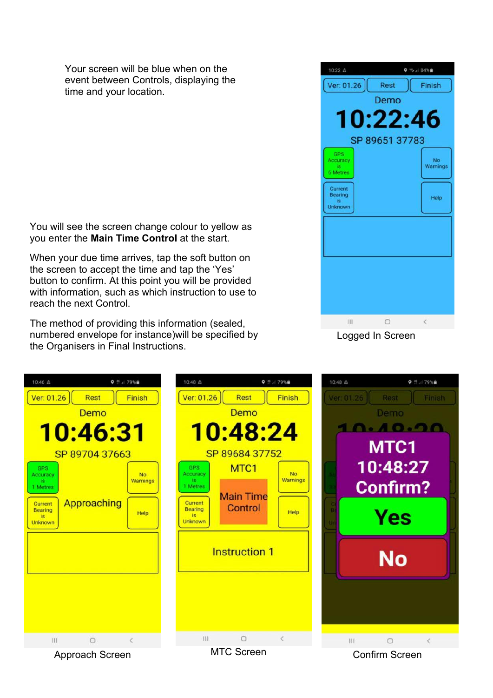Your screen will be blue when on the event between Controls, displaying the time and your location.

You will see the screen change colour to yellow as you enter the **Main Time Control** at the start.

When your due time arrives, tap the soft button on the screen to accept the time and tap the 'Yes' button to confirm. At this point you will be provided with information, such as which instruction to use to reach the next Control.

The method of providing this information (sealed, numbered envelope for instance)will be specified by the Organisers in Final Instructions.



Logged In Screen

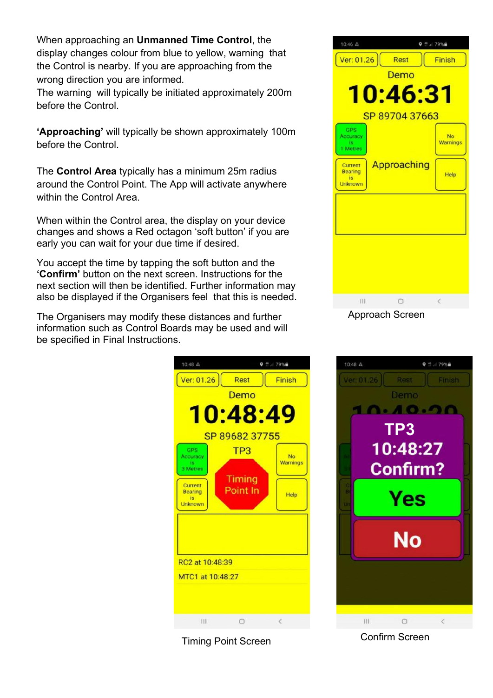When approaching an **Unmanned Time Control**, the display changes colour from blue to yellow, warning that the Control is nearby. If you are approaching from the wrong direction you are informed.

The warning will typically be initiated approximately 200m before the Control.

**'Approaching'** will typically be shown approximately 100m before the Control.

The **Control Area** typically has a minimum 25m radius around the Control Point. The App will activate anywhere within the Control Area.

When within the Control area, the display on your device changes and shows a Red octagon 'soft button' if you are early you can wait for your due time if desired.

You accept the time by tapping the soft button and the **'Confirm'** button on the next screen. Instructions for the next section will then be identified. Further information may also be displayed if the Organisers feel that this is needed.

The Organisers may modify these distances and further information such as Control Boards may be used and will be specified in Final Instructions.



Timing Point Screen Confirm Screen



Approach Screen

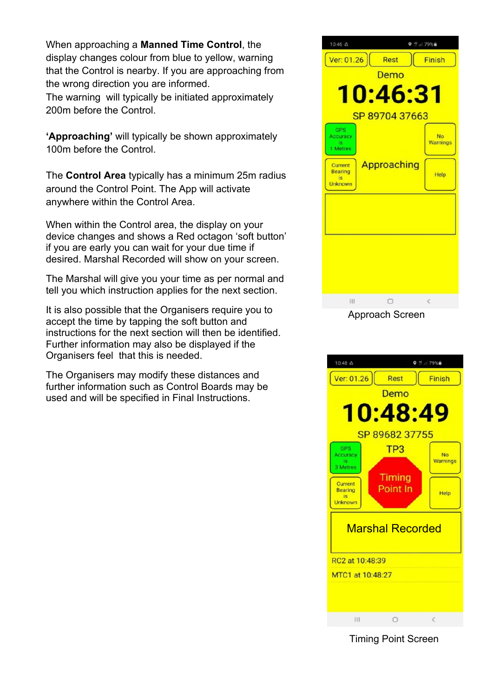When approaching a **Manned Time Control**, the display changes colour from blue to yellow, warning that the Control is nearby. If you are approaching from the wrong direction you are informed. The warning will typically be initiated approximately 200m before the Control.

**'Approaching'** will typically be shown approximately 100m before the Control.

The **Control Area** typically has a minimum 25m radius around the Control Point. The App will activate anywhere within the Control Area.

When within the Control area, the display on your device changes and shows a Red octagon 'soft button' if you are early you can wait for your due time if desired. Marshal Recorded will show on your screen.

The Marshal will give you your time as per normal and tell you which instruction applies for the next section.

It is also possible that the Organisers require you to accept the time by tapping the soft button and instructions for the next section will then be identified. Further information may also be displayed if the Organisers feel that this is needed.

The Organisers may modify these distances and further information such as Control Boards may be used and will be specified in Final Instructions.





Timing Point Screen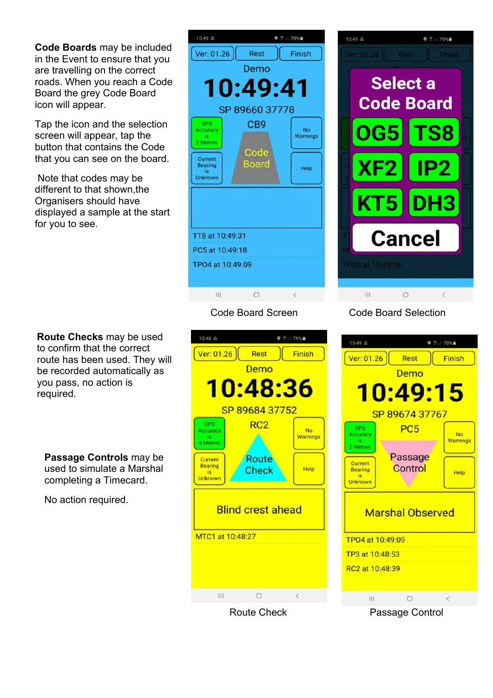**Code Boards** may be included in the Event to ensure that you are travelling on the correct roads. When you reach a Code Board the grey Code Board icon will appear.

Tap the icon and the selection screen will appear, tap the button that contains the Code that you can see on the board.

 Note that codes may be different to that shown,the Organisers should have displayed a sample at the start for you to see.

**Route Checks** may be used to confirm that the correct route has been used. They will be recorded automatically as you pass, no action is required.

**Passage Controls** may be used to simulate a Marshal completing a Timecard.

No action required.

#### 10:49 血  $9.12178%$ Ver: 01.26 Finish Rest Demo 10:49:41 SP 89660 37778 GPS C<sub>B9</sub> Accuracy No Warnings is<br>2 Metres Code Current **Board** Bearing Help is<br>Unknown TT8 at 10:49:31 PC5 at 10:49:18 TPO4 at 10:49:09  $\circ$  $\overline{\left(}$  $\overline{111}$



#### Code Board Screen Code Board Selection



Route Check **Passage Control** 

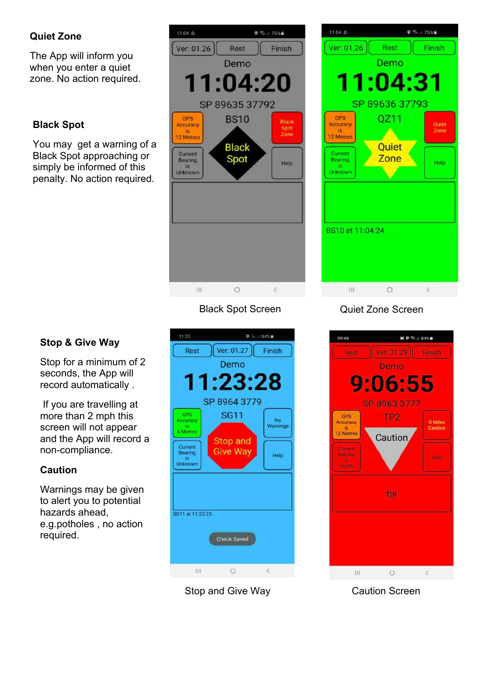#### **Quiet Zone**

The App will inform you when you enter a quiet zone. No action required.

#### **Black Spot**

You may get a warning of a Black Spot approaching or simply be informed of this penalty. No action required.

#### 11:04 盘  $9.3176%$ Ver: 01.26 **Rest** Finish Demo  $:04:20$ SP 89635 37792 GPS **BS10** Black<br>Spot<br>Zone Accuracy 12 Metres **Black** Current Spot Bearing Help  $is$ Unknown  $\overline{\mathbf{H}}$  $\circ$  $\epsilon$



Stop for a minimum of 2 seconds, the App will record automatically .

 If you are travelling at more than 2 mph this screen will not appear and the App will record a non-compliance.

#### **Caution**

Warnings may be given to alert you to potential hazards ahead, e.g.potholes , no action required.



Stop and Give Way



#### Black Spot Screen Quiet Zone Screen



Caution Screen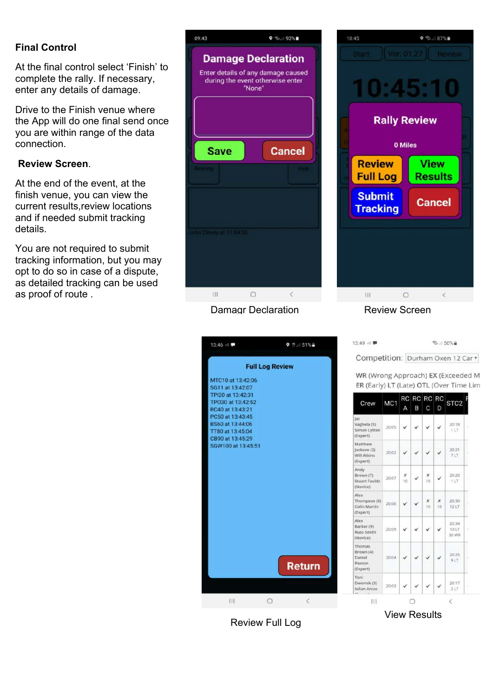#### **Final Control**

At the final control select 'Finish' to complete the rally. If necessary, enter any details of damage.

Drive to the Finish venue where the App will do one final send once you are within range of the data connection.

#### **Review Screen**.

At the end of the event, at the finish venue, you can view the current results,review locations and if needed submit tracking details.

You are not required to submit tracking information, but you may opt to do so in case of a dispute, as detailed tracking can be used as proof of route .

| 09:43 |                                  |        | $\bullet$ % 193%                                                |
|-------|----------------------------------|--------|-----------------------------------------------------------------|
|       | during the event otherwise enter | "None" | <b>Damage Declaration</b><br>Enter details of any damage caused |
|       | <b>Save</b><br>Bearing           |        | <b>Cancel</b><br>Heip.                                          |
|       | John Clavey at 11:04:50          |        |                                                                 |
|       | III.                             | ∩      | $\langle$                                                       |

#### Damagr Declaration **Review Screen**



 $\circ$   $\approx$  87% 10:45 **Rally Review** 0 Miles **Review View Full Log Results Submit Cancel Tracking**  $\circ$  $\overline{\mathbb{H}}$  $\hat{<}$ 

| WR (Wrong Approach) EX (Exceeded M<br>ER (Early) LT (Late) OTL (Over Time Lin |                 |         |   |                  |         |                               |
|-------------------------------------------------------------------------------|-----------------|---------|---|------------------|---------|-------------------------------|
| Crew                                                                          | MC <sub>1</sub> |         | B | RC RC RC RC<br>C | D       | STC <sub>2</sub>              |
| Jai<br>Vaghela (5)<br>Simon Lytton<br>(Expert)                                | 20:05           |         |   |                  |         | 20:18<br>11T                  |
| Matthew<br>Jackson (2)<br>Will Atkins<br>(Expert)                             | 20:02           |         |   |                  |         | 20:21<br>717                  |
| Andy<br>Brown (7)<br><b>Stuart Faulds</b><br>(Novice)                         | 20:07           | x<br>10 |   | x<br>$10^{1}$    |         | 20:20<br>1 LT                 |
| Alex<br>Thompson (6)<br>Colin Martin<br>(Expert)                              | 20:06           |         |   | x<br>10          | Х<br>10 | 20:30<br>12 LT                |
| Alex<br>Barker (9)<br><b>Russ Smith</b><br>(Novice)                           | 20:09           |         |   |                  |         | 20:34<br>13LT<br><b>9W 0E</b> |
| Thomas<br>Brown (4)<br>Daniel<br>Paxton<br>(Expert)                           | 20:04           |         |   |                  |         | 20:25<br>9LT                  |
| Toni<br>Dwornik (3)<br><b>Iulian Arcus</b>                                    | 20:03           |         |   |                  |         | 20:17<br>2LT                  |

Review Full Log

View Results